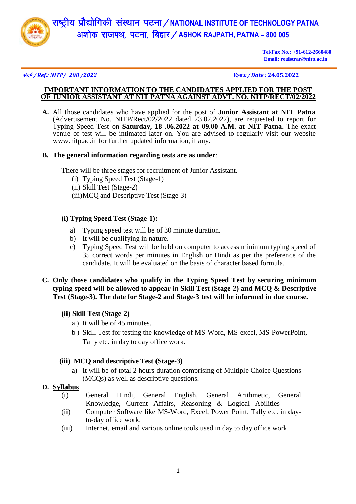

# राष्ट्रीय प्रौद्योगिकी संस्थान पटना / NATIONAL INSTITUTE OF TECHNOLOGY PATNA v'kk sd jktiFk] iVuk] fcgkj@**ASHOK RAJPATH, PATNA – 800 005**

**Tel/Fax No.: +91-612-2660480 Email: registrar@nitp.ac.in**

#### l anHk Z@*Ref.: NITP/ 208 /2022* fnuk ad@*Date :* **24.05.2022**

# **IMPORTANT INFORMATION TO THE CANDIDATES APPLIED FOR THE POST OF JUNIOR ASSISTANT AT NIT PATNA AGAINST ADVT. NO. NITP/RECT/02/2022**

**A.** All those candidates who have applied for the post of **Junior Assistant at NIT Patna** (Advertisement No. NITP/Rect/02/2022 dated 23.02.2022), are requested to report for Typing Speed Test on **Saturday, 18 .06.2022 at 09.00 A.M. at NIT Patna.** The exact venue of test will be intimated later on. You are advised to regularly visit our website [www.nitp.ac.in](http://www.nitp.ac.in/) for further updated information, if any.

### **B. The general information regarding tests are as under**:

There will be three stages for recruitment of Junior Assistant.

- (i) Typing Speed Test (Stage-1)
- (ii) Skill Test (Stage-2)
- (iii)MCQ and Descriptive Test (Stage-3)

# **(i) Typing Speed Test (Stage-1):**

- a) Typing speed test will be of 30 minute duration.
- b) It will be qualifying in nature.
- c) Typing Speed Test will be held on computer to access minimum typing speed of 35 correct words per minutes in English or Hindi as per the preference of the candidate. It will be evaluated on the basis of character based formula.
- **C. Only those candidates who qualify in the Typing Speed Test by securing minimum typing speed will be allowed to appear in Skill Test (Stage-2) and MCQ & Descriptive Test (Stage-3). The date for Stage-2 and Stage-3 test will be informed in due course.** 
	- **(ii) Skill Test (Stage-2)**
		- a ) It will be of 45 minutes.
		- b ) Skill Test for testing the knowledge of MS-Word, MS-excel, MS-PowerPoint, Tally etc. in day to day office work.

# **(iii) MCQ and descriptive Test (Stage-3)**

- a) It will be of total 2 hours duration comprising of Multiple Choice Questions (MCQs) as well as descriptive questions.
- **D. Syllabus**
	- (i) General Hindi, General English, General Arithmetic, General Knowledge, Current Affairs, Reasoning & Logical Abilities
	- (ii) Computer Software like MS-Word, Excel, Power Point, Tally etc. in dayto-day office work.
	- (iii) Internet, email and various online tools used in day to day office work.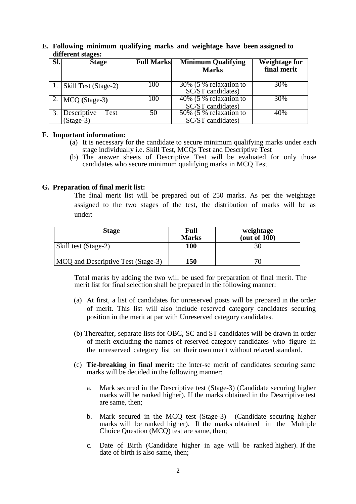|     | GHILL SHE SUGGESS.   |                   |                           |                      |  |  |  |
|-----|----------------------|-------------------|---------------------------|----------------------|--|--|--|
| SI. | <b>Stage</b>         | <b>Full Marks</b> | <b>Minimum Qualifying</b> | <b>Weightage for</b> |  |  |  |
|     |                      |                   |                           |                      |  |  |  |
|     |                      |                   | <b>Marks</b>              | final merit          |  |  |  |
|     |                      |                   |                           |                      |  |  |  |
|     |                      |                   |                           |                      |  |  |  |
|     | Skill Test (Stage-2) | 100               | 30% (5 % relaxation to    | 30%                  |  |  |  |
|     |                      |                   | SC/ST candidates)         |                      |  |  |  |
|     |                      |                   |                           |                      |  |  |  |
|     | $MCO$ (Stage-3)      | 100               | 40% (5 % relaxation to    | 30%                  |  |  |  |
|     |                      |                   |                           |                      |  |  |  |
|     |                      |                   | SC/ST candidates)         |                      |  |  |  |
|     | Descriptive<br>Test  | 50                | 50% (5 % relaxation to    | 40%                  |  |  |  |
|     |                      |                   |                           |                      |  |  |  |
|     | $(Stage-3)$          |                   | SC/ST candidates)         |                      |  |  |  |
|     |                      |                   |                           |                      |  |  |  |

**E. Following minimum qualifying marks and weightage have been assigned to different stages:**

#### **F. Important information:**

- (a) It is necessary for the candidate to secure minimum qualifying marks under each stage individually i.e. Skill Test, MCQs Test and Descriptive Test
- (b) The answer sheets of Descriptive Test will be evaluated for only those candidates who secure minimum qualifying marks in MCQ Test.

#### **G. Preparation of final merit list:**

The final merit list will be prepared out of 250 marks. As per the weightage assigned to the two stages of the test, the distribution of marks will be as under:

| <b>Stage</b>                       | Full<br><b>Marks</b> | weightage<br>(out of $100$ ) |
|------------------------------------|----------------------|------------------------------|
| Skill test (Stage-2)               | 100                  |                              |
| MCQ and Descriptive Test (Stage-3) | 150                  |                              |

Total marks by adding the two will be used for preparation of final merit. The merit list for final selection shall be prepared in the following manner:

- (a) At first, a list of candidates for unreserved posts will be prepared in the order of merit. This list will also include reserved category candidates securing position in the merit at par with Unreserved category candidates.
- (b) Thereafter, separate lists for OBC, SC and ST candidates will be drawn in order of merit excluding the names of reserved category candidates who figure in the unreserved category list on their own merit without relaxed standard.
- (c) **Tie-breaking in final merit:** the inter-se merit of candidates securing same marks will be decided in the following manner:
	- a. Mark secured in the Descriptive test (Stage-3) (Candidate securing higher marks will be ranked higher). If the marks obtained in the Descriptive test are same, then;
	- b. Mark secured in the MCQ test (Stage-3) (Candidate securing higher marks will be ranked higher). If the marks obtained in the Multiple Choice Question (MCQ) test are same, then;
	- c. Date of Birth (Candidate higher in age will be ranked higher). If the date of birth is also same, then;